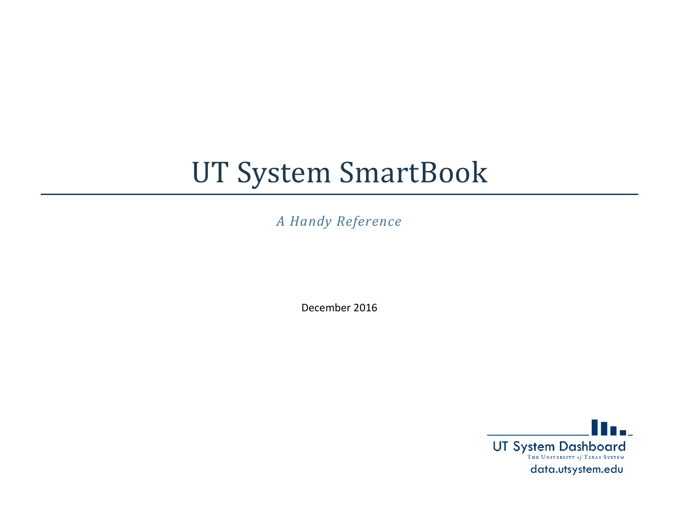# UT System SmartBook

*A Handy Reference*

December 2016

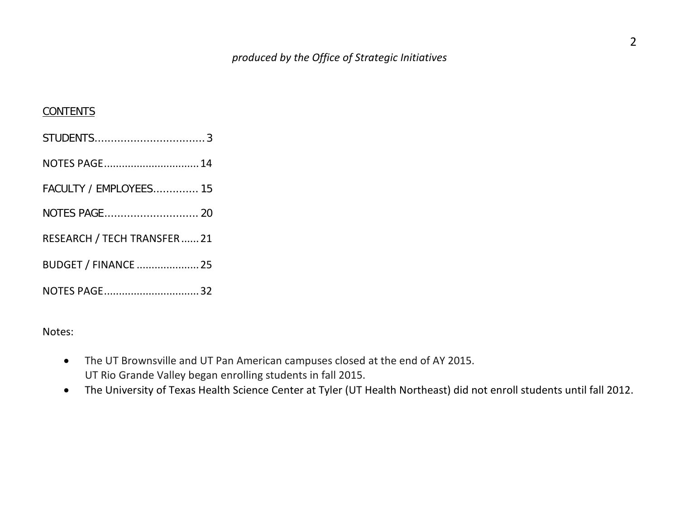#### **CONTENTS**

| NOTES PAGE 14                 |
|-------------------------------|
| <b>FACULTY / EMPLOYEES 15</b> |
|                               |
| RESEARCH / TECH TRANSFER21    |
| BUDGET / FINANCE  25          |
| NOTES PAGE32                  |

Notes:

- The UT Brownsville and UT Pan American campuses closed at the end of AY 2015. UT Rio Grande Valley began enrolling students in fall 2015.
- The University of Texas Health Science Center at Tyler (UT Health Northeast) did not enroll students until fall 2012.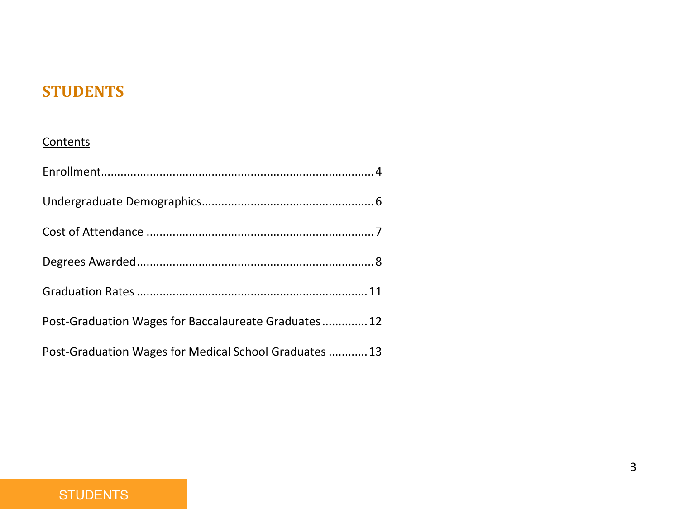## **STUDENTS**

#### **Contents**

| Post-Graduation Wages for Baccalaureate Graduates 12   |
|--------------------------------------------------------|
| Post-Graduation Wages for Medical School Graduates  13 |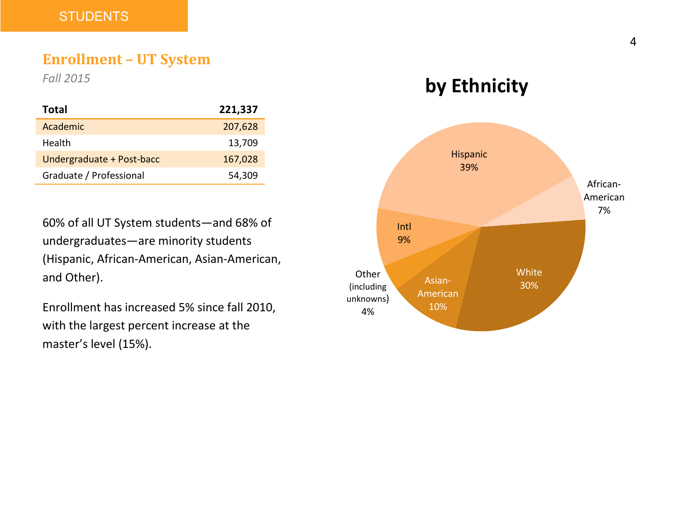#### **Enrollment – UT System**

*Fall 2015*

| Total                     | 221,337 |
|---------------------------|---------|
| Academic                  | 207,628 |
| Health                    | 13,709  |
| Undergraduate + Post-bacc | 167,028 |
| Graduate / Professional   | 54,309  |

60% of all UT System students—and 68% of undergraduates—are minority students (Hispanic, African-American, Asian-American, and Other).

Enrollment has increased 5% since fall 2010, with the largest percent increase at the master's level (15%).



**by Ethnicity**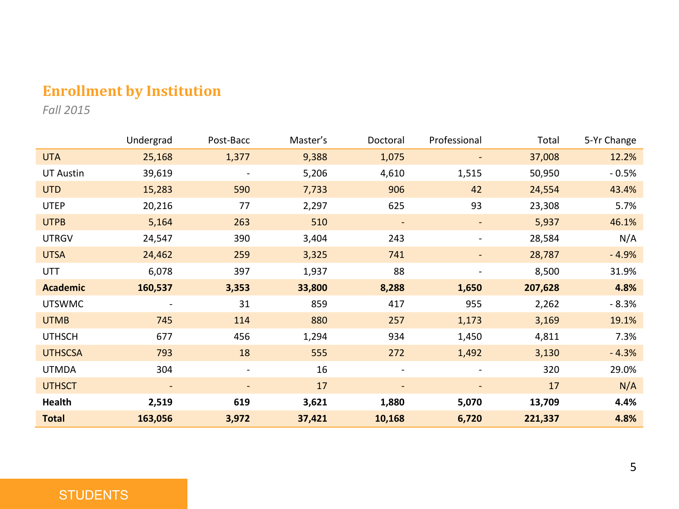## **Enrollment by Institution**

*Fall 2015*

|                  | Undergrad                | Post-Bacc                | Master's | Doctoral                 | Professional             | Total   | 5-Yr Change |
|------------------|--------------------------|--------------------------|----------|--------------------------|--------------------------|---------|-------------|
| <b>UTA</b>       | 25,168                   | 1,377                    | 9,388    | 1,075                    |                          | 37,008  | 12.2%       |
| <b>UT Austin</b> | 39,619                   |                          | 5,206    | 4,610                    | 1,515                    | 50,950  | $-0.5%$     |
| <b>UTD</b>       | 15,283                   | 590                      | 7,733    | 906                      | 42                       | 24,554  | 43.4%       |
| <b>UTEP</b>      | 20,216                   | 77                       | 2,297    | 625                      | 93                       | 23,308  | 5.7%        |
| <b>UTPB</b>      | 5,164                    | 263                      | 510      | $\overline{\phantom{a}}$ |                          | 5,937   | 46.1%       |
| <b>UTRGV</b>     | 24,547                   | 390                      | 3,404    | 243                      |                          | 28,584  | N/A         |
| <b>UTSA</b>      | 24,462                   | 259                      | 3,325    | 741                      |                          | 28,787  | $-4.9%$     |
| UTT              | 6,078                    | 397                      | 1,937    | 88                       |                          | 8,500   | 31.9%       |
| <b>Academic</b>  | 160,537                  | 3,353                    | 33,800   | 8,288                    | 1,650                    | 207,628 | 4.8%        |
| <b>UTSWMC</b>    | $\overline{\phantom{m}}$ | 31                       | 859      | 417                      | 955                      | 2,262   | $-8.3%$     |
| <b>UTMB</b>      | 745                      | 114                      | 880      | 257                      | 1,173                    | 3,169   | 19.1%       |
| <b>UTHSCH</b>    | 677                      | 456                      | 1,294    | 934                      | 1,450                    | 4,811   | 7.3%        |
| <b>UTHSCSA</b>   | 793                      | 18                       | 555      | 272                      | 1,492                    | 3,130   | $-4.3%$     |
| <b>UTMDA</b>     | 304                      | $\overline{\phantom{a}}$ | 16       | ٠                        | $\overline{\phantom{a}}$ | 320     | 29.0%       |
| <b>UTHSCT</b>    | $\overline{\phantom{a}}$ | $\overline{\phantom{a}}$ | 17       | $\overline{\phantom{a}}$ | $\overline{\phantom{a}}$ | 17      | N/A         |
| Health           | 2,519                    | 619                      | 3,621    | 1,880                    | 5,070                    | 13,709  | 4.4%        |
| <b>Total</b>     | 163,056                  | 3,972                    | 37,421   | 10,168                   | 6,720                    | 221,337 | 4.8%        |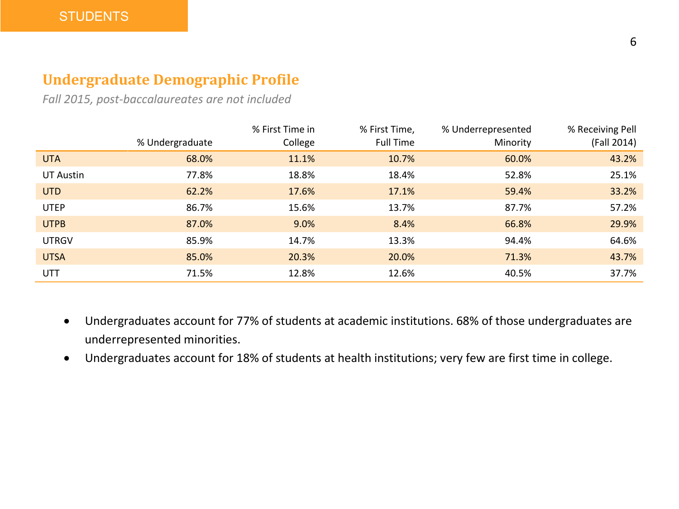## **Undergraduate Demographic Profile**

*Fall 2015, post-baccalaureates are not included*

|              |                 | % First Time in | % First Time, | % Underrepresented | % Receiving Pell |
|--------------|-----------------|-----------------|---------------|--------------------|------------------|
|              | % Undergraduate | College         | Full Time     | Minority           | (Fall 2014)      |
| <b>UTA</b>   | 68.0%           | 11.1%           | 10.7%         | 60.0%              | 43.2%            |
| UT Austin    | 77.8%           | 18.8%           | 18.4%         | 52.8%              | 25.1%            |
| <b>UTD</b>   | 62.2%           | 17.6%           | 17.1%         | 59.4%              | 33.2%            |
| <b>UTEP</b>  | 86.7%           | 15.6%           | 13.7%         | 87.7%              | 57.2%            |
| <b>UTPB</b>  | 87.0%           | 9.0%            | 8.4%          | 66.8%              | 29.9%            |
| <b>UTRGV</b> | 85.9%           | 14.7%           | 13.3%         | 94.4%              | 64.6%            |
| <b>UTSA</b>  | 85.0%           | 20.3%           | 20.0%         | 71.3%              | 43.7%            |
| <b>UTT</b>   | 71.5%           | 12.8%           | 12.6%         | 40.5%              | 37.7%            |

- Undergraduates account for 77% of students at academic institutions. 68% of those undergraduates are underrepresented minorities.
- Undergraduates account for 18% of students at health institutions; very few are first time in college.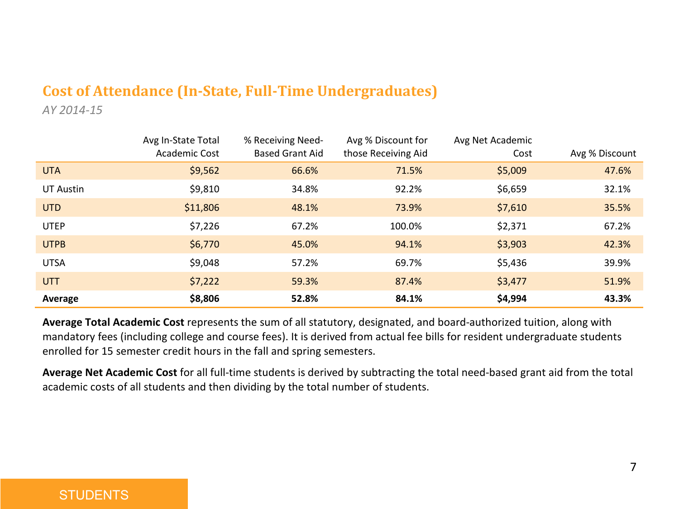## **Cost of Attendance (In-State, Full-Time Undergraduates)**

*AY 2014-15*

|             | Avg In-State Total<br>Academic Cost | % Receiving Need-<br><b>Based Grant Aid</b> | Avg % Discount for<br>those Receiving Aid | Avg Net Academic<br>Cost | Avg % Discount |
|-------------|-------------------------------------|---------------------------------------------|-------------------------------------------|--------------------------|----------------|
| <b>UTA</b>  | \$9,562                             | 66.6%                                       | 71.5%                                     | \$5,009                  | 47.6%          |
| UT Austin   | \$9,810                             | 34.8%                                       | 92.2%                                     | \$6,659                  | 32.1%          |
| <b>UTD</b>  | \$11,806                            | 48.1%                                       | 73.9%                                     | \$7,610                  | 35.5%          |
| <b>UTEP</b> | \$7,226                             | 67.2%                                       | 100.0%                                    | \$2,371                  | 67.2%          |
| <b>UTPB</b> | \$6,770                             | 45.0%                                       | 94.1%                                     | \$3,903                  | 42.3%          |
| <b>UTSA</b> | \$9,048                             | 57.2%                                       | 69.7%                                     | \$5,436                  | 39.9%          |
| <b>UTT</b>  | \$7,222                             | 59.3%                                       | 87.4%                                     | \$3,477                  | 51.9%          |
| Average     | \$8,806                             | 52.8%                                       | 84.1%                                     | \$4,994                  | 43.3%          |

**Average Total Academic Cost** represents the sum of all statutory, designated, and board-authorized tuition, along with mandatory fees (including college and course fees). It is derived from actual fee bills for resident undergraduate students enrolled for 15 semester credit hours in the fall and spring semesters.

**Average Net Academic Cost** for all full-time students is derived by subtracting the total need-based grant aid from the total academic costs of all students and then dividing by the total number of students.

#### **STUDENTS**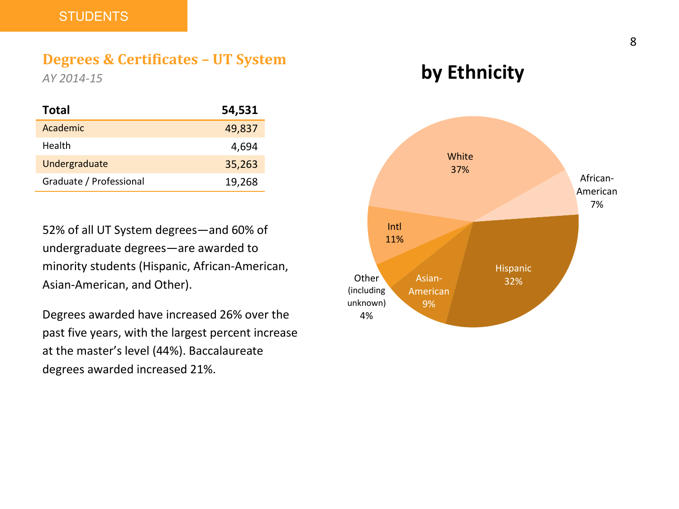#### **Degrees & Certificates – UT System**

*AY 2014-15*

| Total                   | 54,531 |
|-------------------------|--------|
| Academic                | 49,837 |
| Health                  | 4,694  |
| Undergraduate           | 35,263 |
| Graduate / Professional | 19,268 |

52% of all UT System degrees—and 60% of undergraduate degrees—are awarded to minority students (Hispanic, African-American, Asian-American, and Other).

Degrees awarded have increased 26% over the past five years, with the largest percent increase at the master's level (44%). Baccalaureate degrees awarded increased 21%.

## **by Ethnicity**

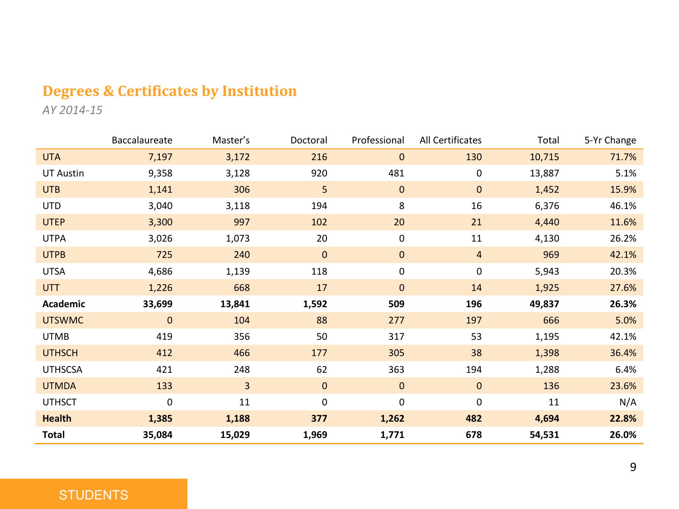## **Degrees & Certificates by Institution**

*AY 2014-15*

|                  | Baccalaureate | Master's       | Doctoral     | Professional | All Certificates | Total  | 5-Yr Change |
|------------------|---------------|----------------|--------------|--------------|------------------|--------|-------------|
| <b>UTA</b>       | 7,197         | 3,172          | 216          | $\mathbf{0}$ | 130              | 10,715 | 71.7%       |
| <b>UT Austin</b> | 9,358         | 3,128          | 920          | 481          | 0                | 13,887 | 5.1%        |
| <b>UTB</b>       | 1,141         | 306            | 5            | $\mathbf{0}$ | $\mathbf{0}$     | 1,452  | 15.9%       |
| <b>UTD</b>       | 3,040         | 3,118          | 194          | 8            | 16               | 6,376  | 46.1%       |
| <b>UTEP</b>      | 3,300         | 997            | 102          | 20           | 21               | 4,440  | 11.6%       |
| <b>UTPA</b>      | 3,026         | 1,073          | 20           | $\mathbf 0$  | 11               | 4,130  | 26.2%       |
| <b>UTPB</b>      | 725           | 240            | $\mathbf{0}$ | $\mathbf{0}$ | $\overline{4}$   | 969    | 42.1%       |
| <b>UTSA</b>      | 4,686         | 1,139          | 118          | $\mathbf 0$  | 0                | 5,943  | 20.3%       |
| <b>UTT</b>       | 1,226         | 668            | 17           | $\mathbf{0}$ | 14               | 1,925  | 27.6%       |
| Academic         | 33,699        | 13,841         | 1,592        | 509          | 196              | 49,837 | 26.3%       |
| <b>UTSWMC</b>    | $\mathbf{0}$  | 104            | 88           | 277          | 197              | 666    | 5.0%        |
| <b>UTMB</b>      | 419           | 356            | 50           | 317          | 53               | 1,195  | 42.1%       |
| <b>UTHSCH</b>    | 412           | 466            | 177          | 305          | 38               | 1,398  | 36.4%       |
| <b>UTHSCSA</b>   | 421           | 248            | 62           | 363          | 194              | 1,288  | 6.4%        |
| <b>UTMDA</b>     | 133           | $\overline{3}$ | $\mathbf{0}$ | $\mathbf{0}$ | $\mathbf{0}$     | 136    | 23.6%       |
| <b>UTHSCT</b>    | $\mathbf 0$   | 11             | $\mathbf 0$  | $\mathbf 0$  | 0                | 11     | N/A         |
| <b>Health</b>    | 1,385         | 1,188          | 377          | 1,262        | 482              | 4,694  | 22.8%       |
| <b>Total</b>     | 35,084        | 15,029         | 1,969        | 1,771        | 678              | 54,531 | 26.0%       |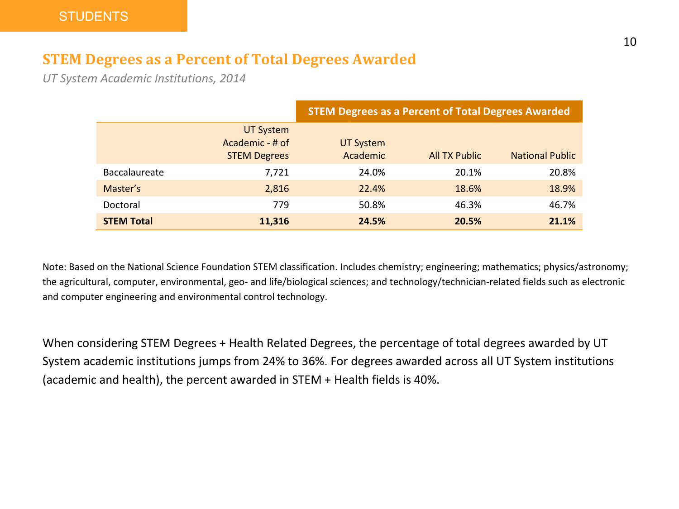### **STEM Degrees as a Percent of Total Degrees Awarded**

*UT System Academic Institutions, 2014*

|                      |                                                            | <b>STEM Degrees as a Percent of Total Degrees Awarded</b> |                      |                        |  |  |
|----------------------|------------------------------------------------------------|-----------------------------------------------------------|----------------------|------------------------|--|--|
|                      | <b>UT System</b><br>Academic - # of<br><b>STEM Degrees</b> | UT System<br>Academic                                     | <b>All TX Public</b> | <b>National Public</b> |  |  |
| <b>Baccalaureate</b> | 7,721                                                      | 24.0%                                                     | 20.1%                | 20.8%                  |  |  |
| Master's             | 2,816                                                      | 22.4%                                                     | 18.6%                | 18.9%                  |  |  |
| Doctoral             | 779                                                        | 50.8%                                                     | 46.3%                | 46.7%                  |  |  |
| <b>STEM Total</b>    | 11,316                                                     | 24.5%                                                     | 20.5%                | 21.1%                  |  |  |

Note: Based on the National Science Foundation STEM classification. Includes chemistry; engineering; mathematics; physics/astronomy; the agricultural, computer, environmental, geo- and life/biological sciences; and technology/technician-related fields such as electronic and computer engineering and environmental control technology.

When considering STEM Degrees + Health Related Degrees, the percentage of total degrees awarded by UT System academic institutions jumps from 24% to 36%. For degrees awarded across all UT System institutions (academic and health), the percent awarded in STEM + Health fields is 40%.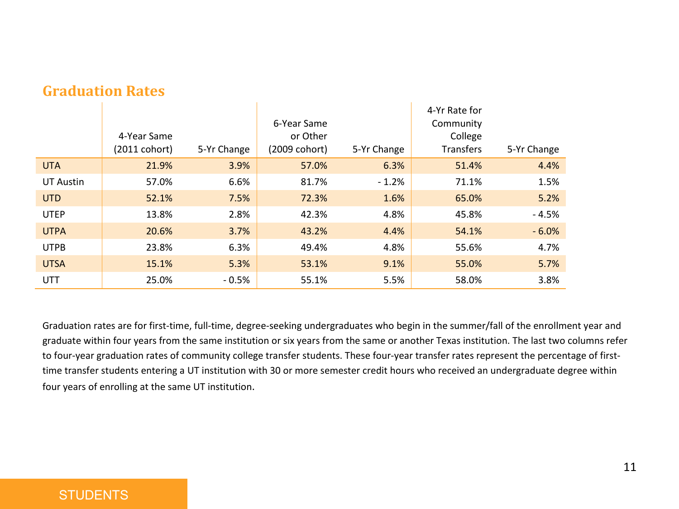|                  | 4-Year Same<br>(2011 cohort) | 5-Yr Change | 6-Year Same<br>or Other<br>(2009 cohort) | 5-Yr Change | 4-Yr Rate for<br>Community<br>College<br><b>Transfers</b> | 5-Yr Change |
|------------------|------------------------------|-------------|------------------------------------------|-------------|-----------------------------------------------------------|-------------|
| <b>UTA</b>       | 21.9%                        | 3.9%        | 57.0%                                    | 6.3%        | 51.4%                                                     | 4.4%        |
| <b>UT Austin</b> | 57.0%                        | 6.6%        | 81.7%                                    | $-1.2%$     | 71.1%                                                     | 1.5%        |
| <b>UTD</b>       | 52.1%                        | 7.5%        | 72.3%                                    | 1.6%        | 65.0%                                                     | 5.2%        |
| <b>UTEP</b>      | 13.8%                        | 2.8%        | 42.3%                                    | 4.8%        | 45.8%                                                     | $-4.5%$     |
| <b>UTPA</b>      | 20.6%                        | 3.7%        | 43.2%                                    | 4.4%        | 54.1%                                                     | $-6.0%$     |
| <b>UTPB</b>      | 23.8%                        | 6.3%        | 49.4%                                    | 4.8%        | 55.6%                                                     | 4.7%        |
| <b>UTSA</b>      | 15.1%                        | 5.3%        | 53.1%                                    | 9.1%        | 55.0%                                                     | 5.7%        |
| <b>UTT</b>       | 25.0%                        | $-0.5%$     | 55.1%                                    | 5.5%        | 58.0%                                                     | 3.8%        |

#### **Graduation Rates**

Graduation rates are for first-time, full-time, degree-seeking undergraduates who begin in the summer/fall of the enrollment year and graduate within four years from the same institution or six years from the same or another Texas institution. The last two columns refer to four-year graduation rates of community college transfer students. These four-year transfer rates represent the percentage of firsttime transfer students entering a UT institution with 30 or more semester credit hours who received an undergraduate degree within four years of enrolling at the same UT institution.

#### **STUDENTS**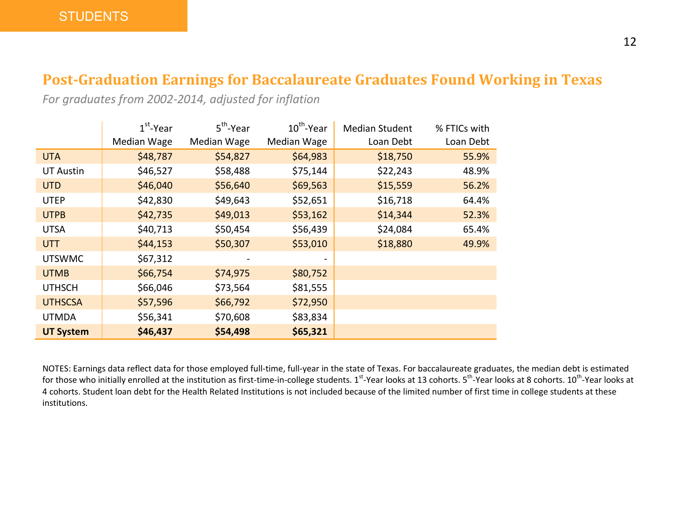### **Post-Graduation Earnings for Baccalaureate Graduates Found Working in Texas**

*For graduates from 2002-2014, adjusted for inflation*

|                  | $1st$ -Year | $5^{\text{th}}$ -Year | $10^{th}$ -Year | <b>Median Student</b> | % FTICs with |
|------------------|-------------|-----------------------|-----------------|-----------------------|--------------|
|                  | Median Wage | Median Wage           | Median Wage     | Loan Debt             | Loan Debt    |
| <b>UTA</b>       | \$48,787    | \$54,827              | \$64,983        | \$18,750              | 55.9%        |
| <b>UT Austin</b> | \$46,527    | \$58,488              | \$75,144        | \$22,243              | 48.9%        |
| <b>UTD</b>       | \$46,040    | \$56,640              | \$69,563        | \$15,559              | 56.2%        |
| <b>UTEP</b>      | \$42,830    | \$49,643              | \$52,651        | \$16,718              | 64.4%        |
| <b>UTPB</b>      | \$42,735    | \$49,013              | \$53,162        | \$14,344              | 52.3%        |
| <b>UTSA</b>      | \$40,713    | \$50,454              | \$56,439        | \$24,084              | 65.4%        |
| UTT              | \$44,153    | \$50,307              | \$53,010        | \$18,880              | 49.9%        |
| <b>UTSWMC</b>    | \$67,312    |                       |                 |                       |              |
| <b>UTMB</b>      | \$66,754    | \$74,975              | \$80,752        |                       |              |
| <b>UTHSCH</b>    | \$66,046    | \$73,564              | \$81,555        |                       |              |
| <b>UTHSCSA</b>   | \$57,596    | \$66,792              | \$72,950        |                       |              |
| <b>UTMDA</b>     | \$56,341    | \$70,608              | \$83,834        |                       |              |
| <b>UT System</b> | \$46,437    | \$54,498              | \$65,321        |                       |              |

NOTES: Earnings data reflect data for those employed full-time, full-year in the state of Texas. For baccalaureate graduates, the median debt is estimated for those who initially enrolled at the institution as first-time-in-college students. 1<sup>st</sup>-Year looks at 13 cohorts. 5<sup>th</sup>-Year looks at 8 cohorts. 10<sup>th</sup>-Year looks at 4 cohorts. Student loan debt for the Health Related Institutions is not included because of the limited number of first time in college students at these institutions.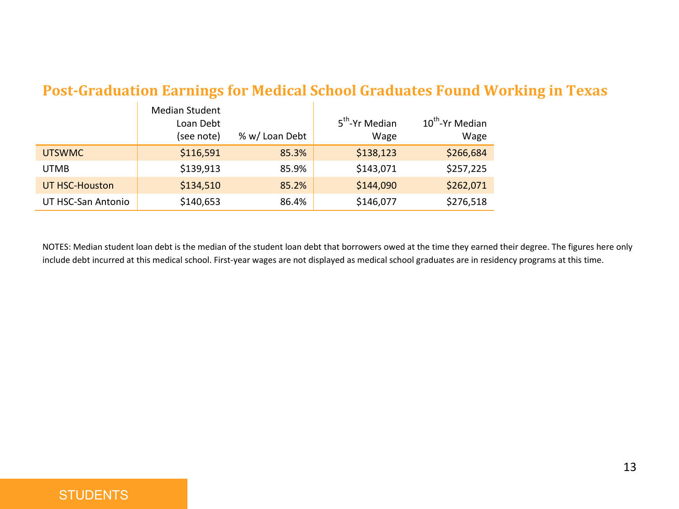## **Post-Graduation Earnings for Medical School Graduates Found Working in Texas**

|                    | <b>Median Student</b><br>Loan Debt<br>(see note) | % w/ Loan Debt | 5 <sup>th</sup> -Yr Median<br>Wage | 10 <sup>th</sup> -Yr Median<br>Wage |
|--------------------|--------------------------------------------------|----------------|------------------------------------|-------------------------------------|
| <b>UTSWMC</b>      | \$116,591                                        | 85.3%          | \$138,123                          | \$266,684                           |
| <b>UTMB</b>        | \$139.913                                        | 85.9%          | \$143,071                          | \$257,225                           |
| UT HSC-Houston     | \$134,510                                        | 85.2%          | \$144,090                          | \$262,071                           |
| UT HSC-San Antonio | \$140,653                                        | 86.4%          | \$146,077                          | \$276,518                           |

NOTES: Median student loan debt is the median of the student loan debt that borrowers owed at the time they earned their degree. The figures here only include debt incurred at this medical school. First-year wages are not displayed as medical school graduates are in residency programs at this time.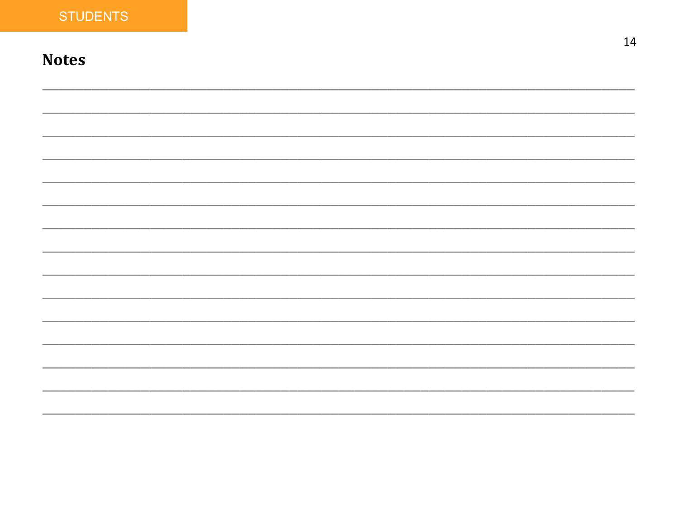## **Notes**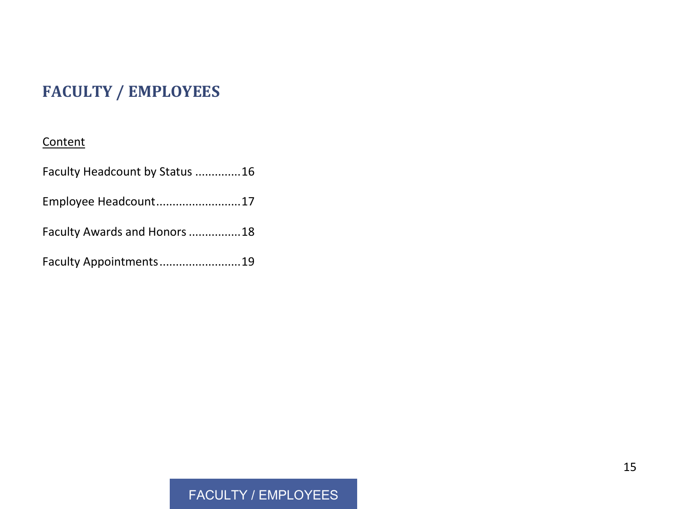## **FACULTY / EMPLOYEES**

#### **Content**

| Faculty Headcount by Status 16 |  |
|--------------------------------|--|
| Employee Headcount17           |  |
| Faculty Awards and Honors 18   |  |
| Faculty Appointments19         |  |

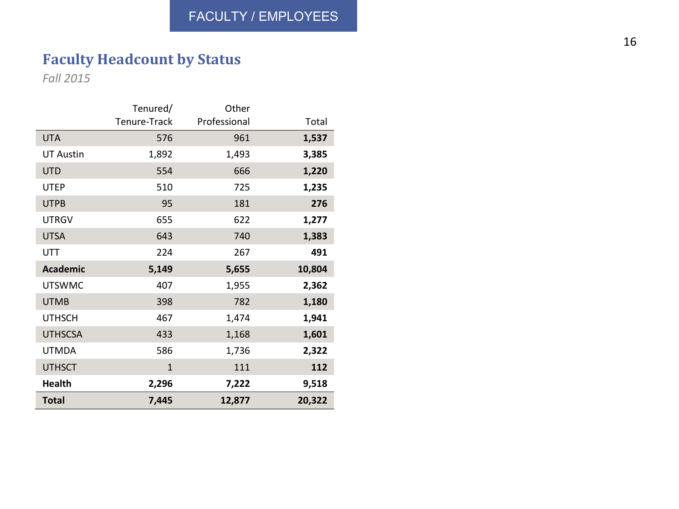## **Faculty Headcount by Status**

*Fall 2015*

|                  | Tenured/     | Other        |        |
|------------------|--------------|--------------|--------|
|                  | Tenure-Track | Professional | Total  |
| <b>UTA</b>       | 576          | 961          | 1,537  |
| <b>UT Austin</b> | 1,892        | 1,493        | 3,385  |
| <b>UTD</b>       | 554          | 666          | 1,220  |
| UTEP             | 510          | 725          | 1,235  |
| <b>UTPB</b>      | 95           | 181          | 276    |
| <b>UTRGV</b>     | 655          | 622          | 1,277  |
| <b>UTSA</b>      | 643          | 740          | 1,383  |
| UTT              | 224          | 267          | 491    |
| <b>Academic</b>  | 5,149        | 5,655        | 10,804 |
| <b>UTSWMC</b>    | 407          | 1,955        | 2,362  |
| <b>UTMB</b>      | 398          | 782          | 1,180  |
| <b>UTHSCH</b>    | 467          | 1,474        | 1,941  |
| <b>UTHSCSA</b>   | 433          | 1,168        | 1,601  |
| <b>UTMDA</b>     | 586          | 1,736        | 2,322  |
| <b>UTHSCT</b>    | $\mathbf{1}$ | 111          | 112    |
| <b>Health</b>    | 2,296        | 7,222        | 9,518  |
| <b>Total</b>     | 7,445        | 12,877       | 20,322 |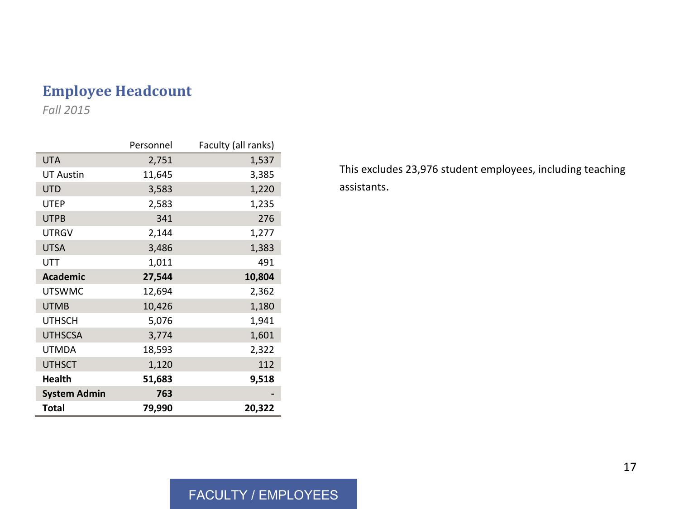## **Employee Headcount**

*Fall 2015*

|                     | Personnel | Faculty (all ranks) |
|---------------------|-----------|---------------------|
| <b>UTA</b>          | 2,751     | 1,537               |
| <b>UT Austin</b>    | 11,645    | 3,385               |
| <b>UTD</b>          | 3,583     | 1,220               |
| <b>UTEP</b>         | 2,583     | 1,235               |
| <b>UTPB</b>         | 341       | 276                 |
| <b>UTRGV</b>        | 2,144     | 1,277               |
| <b>UTSA</b>         | 3,486     | 1,383               |
| UTT                 | 1,011     | 491                 |
| <b>Academic</b>     | 27,544    | 10,804              |
| <b>UTSWMC</b>       | 12,694    | 2,362               |
| <b>UTMB</b>         | 10,426    | 1,180               |
| <b>UTHSCH</b>       | 5,076     | 1,941               |
| <b>UTHSCSA</b>      | 3,774     | 1,601               |
| <b>UTMDA</b>        | 18,593    | 2,322               |
| <b>UTHSCT</b>       | 1,120     | 112                 |
| <b>Health</b>       | 51,683    | 9,518               |
| <b>System Admin</b> | 763       |                     |
| Total               | 79,990    | 20,322              |

This excludes 23,976 student employees, including teaching assistants.

### FACULTY / EMPLOYEES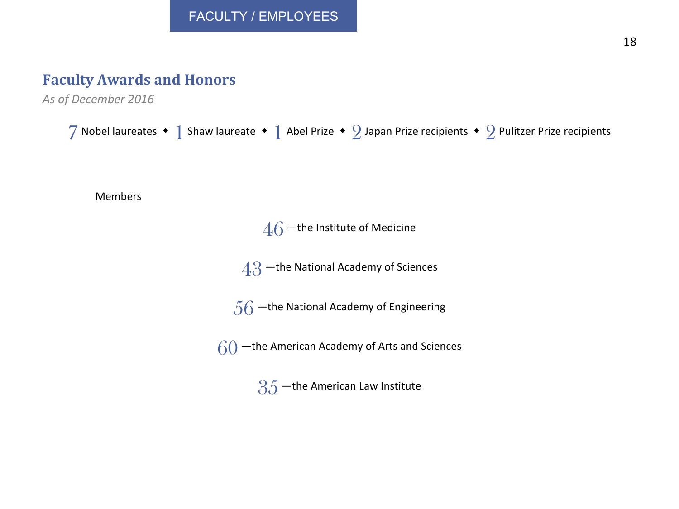## **Faculty Awards and Honors**

*As of December 2016*

 Nobel laureates  $\cdot$  1 Shaw laureate  $\cdot$  1 Abel Prize  $\cdot$  2 Japan Prize recipients  $\cdot$  2 Pulitzer Prize recipients Members –the Institute of Medicine –the National Academy of Sciences  $.56$  –the National Academy of Engineering –the American Academy of Arts and Sciences -the American Law Institute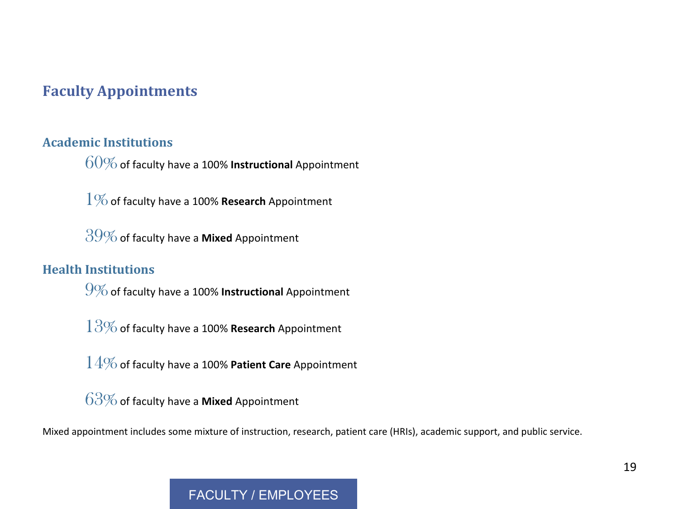## **Faculty Appointments**

#### **Academic Institutions**

60%of faculty have a 100% **Instructional** Appointment

1%of faculty have a 100% **Research** Appointment

39%of faculty have a **Mixed** Appointment

#### **Health Institutions**

9%of faculty have a 100% **Instructional** Appointment

13%of faculty have a 100% **Research** Appointment

14%of faculty have a 100% **Patient Care** Appointment

63%of faculty have a **Mixed** Appointment

Mixed appointment includes some mixture of instruction, research, patient care (HRIs), academic support, and public service.

### FACULTY / FMPLOYEES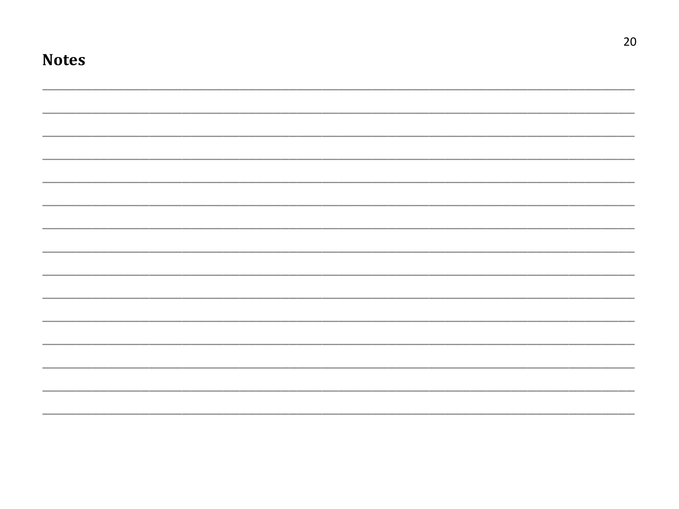| <b>Notes</b> |  |  |
|--------------|--|--|
|              |  |  |
|              |  |  |
|              |  |  |
|              |  |  |
|              |  |  |
|              |  |  |
|              |  |  |
|              |  |  |
|              |  |  |
|              |  |  |
|              |  |  |
|              |  |  |
|              |  |  |
|              |  |  |

 $20\,$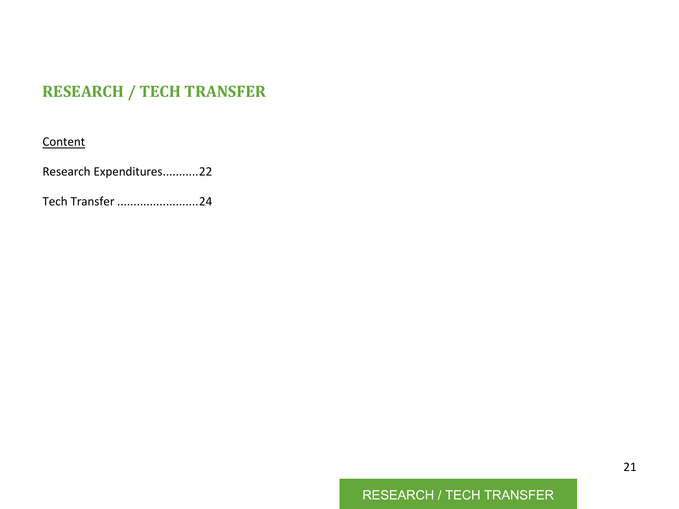## **RESEARCH / TECH TRANSFER**

#### **Content**

Research Expenditures...........22

Tech Transfer .........................24

## RESEARCH / TECH TRANSFER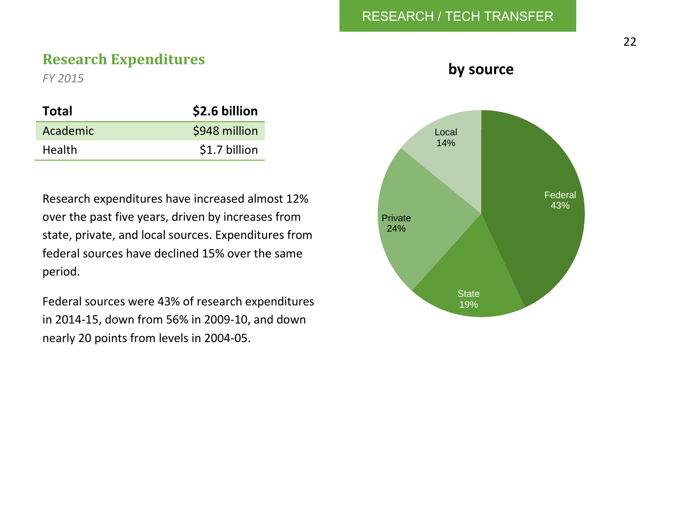#### RESEARCH / TECH TRANSFER

#### **Research Expenditures**

*FY 2015*

| Total         | \$2.6 billion |
|---------------|---------------|
| Academic      | \$948 million |
| <b>Health</b> | \$1.7 billion |

Research expenditures have increased almost 12% over the past five years, driven by increases from state, private, and local sources. Expenditures from federal sources have declined 15% over the same period.

Federal sources were 43% of research expenditures in 2014-15, down from 56% in 2009-10, and down nearly 20 points from levels in 2004-05.

**by source**

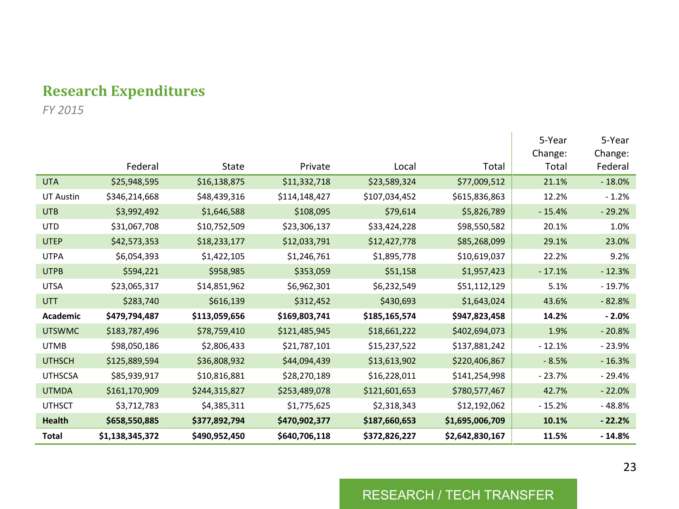## **Research Expenditures**

*FY 2015*

|                  |                 |               |               |               |                 | 5-Year<br>Change: | 5-Year<br>Change: |
|------------------|-----------------|---------------|---------------|---------------|-----------------|-------------------|-------------------|
|                  | Federal         | State         | Private       | Local         | Total           | Total             | Federal           |
| <b>UTA</b>       | \$25,948,595    | \$16,138,875  | \$11,332,718  | \$23,589,324  | \$77,009,512    | 21.1%             | $-18.0%$          |
| <b>UT Austin</b> | \$346,214,668   | \$48,439,316  | \$114,148,427 | \$107,034,452 | \$615,836,863   | 12.2%             | $-1.2%$           |
| <b>UTB</b>       | \$3,992,492     | \$1,646,588   | \$108,095     | \$79,614      | \$5,826,789     | $-15.4%$          | $-29.2%$          |
| <b>UTD</b>       | \$31,067,708    | \$10,752,509  | \$23,306,137  | \$33,424,228  | \$98,550,582    | 20.1%             | 1.0%              |
| <b>UTEP</b>      | \$42,573,353    | \$18,233,177  | \$12,033,791  | \$12,427,778  | \$85,268,099    | 29.1%             | 23.0%             |
| <b>UTPA</b>      | \$6,054,393     | \$1,422,105   | \$1,246,761   | \$1,895,778   | \$10,619,037    | 22.2%             | 9.2%              |
| <b>UTPB</b>      | \$594,221       | \$958,985     | \$353,059     | \$51,158      | \$1,957,423     | $-17.1%$          | $-12.3%$          |
| <b>UTSA</b>      | \$23,065,317    | \$14,851,962  | \$6,962,301   | \$6,232,549   | \$51,112,129    | 5.1%              | $-19.7%$          |
| <b>UTT</b>       | \$283,740       | \$616,139     | \$312,452     | \$430,693     | \$1,643,024     | 43.6%             | $-82.8%$          |
| <b>Academic</b>  | \$479,794,487   | \$113,059,656 | \$169,803,741 | \$185,165,574 | \$947,823,458   | 14.2%             | $-2.0%$           |
| <b>UTSWMC</b>    | \$183,787,496   | \$78,759,410  | \$121,485,945 | \$18,661,222  | \$402,694,073   | 1.9%              | $-20.8%$          |
| <b>UTMB</b>      | \$98,050,186    | \$2,806,433   | \$21,787,101  | \$15,237,522  | \$137,881,242   | $-12.1%$          | $-23.9%$          |
| <b>UTHSCH</b>    | \$125,889,594   | \$36,808,932  | \$44,094,439  | \$13,613,902  | \$220,406,867   | $-8.5%$           | $-16.3%$          |
| <b>UTHSCSA</b>   | \$85.939.917    | \$10,816,881  | \$28,270,189  | \$16,228,011  | \$141,254,998   | $-23.7%$          | $-29.4%$          |
| <b>UTMDA</b>     | \$161,170,909   | \$244,315,827 | \$253,489,078 | \$121,601,653 | \$780,577,467   | 42.7%             | $-22.0%$          |
| <b>UTHSCT</b>    | \$3,712,783     | \$4,385,311   | \$1,775,625   | \$2,318,343   | \$12,192,062    | $-15.2%$          | $-48.8%$          |
| Health           | \$658,550,885   | \$377,892,794 | \$470,902,377 | \$187,660,653 | \$1,695,006,709 | 10.1%             | $-22.2%$          |
| Total            | \$1,138,345,372 | \$490,952,450 | \$640,706,118 | \$372,826,227 | \$2,642,830,167 | 11.5%             | $-14.8%$          |

#### RESEARCH / TECH TRANSFER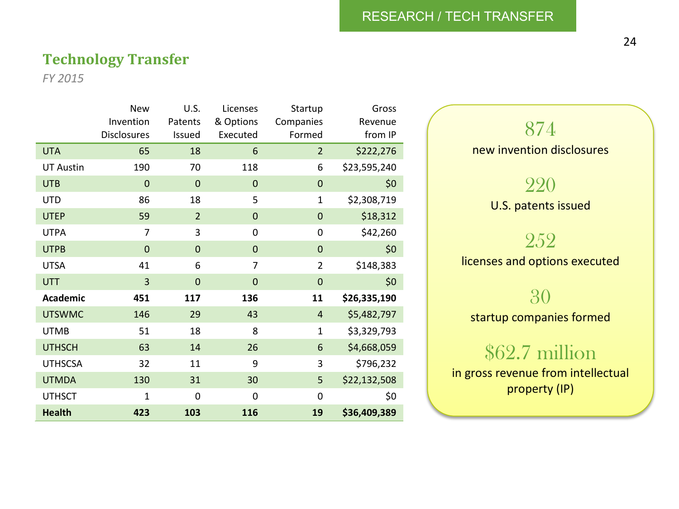#### RESEARCH / TECH TRANSFER

#### **Technology Transfer**

*FY 2015*

|                  | <b>New</b>     | U.S.           | Licenses       | Startup        | Gross        |
|------------------|----------------|----------------|----------------|----------------|--------------|
|                  | Invention      | Patents        | & Options      | Companies      | Revenue      |
|                  | Disclosures    | Issued         | Executed       | Formed         | from IP      |
| <b>UTA</b>       | 65             | 18             | 6              | $\overline{2}$ | \$222,276    |
| <b>UT Austin</b> | 190            | 70             | 118            | 6              | \$23,595,240 |
| <b>UTB</b>       | 0              | $\mathbf 0$    | 0              | $\overline{0}$ | \$0          |
| <b>UTD</b>       | 86             | 18             | 5              | $\mathbf{1}$   | \$2,308,719  |
| <b>UTEP</b>      | 59             | $\overline{2}$ | 0              | $\overline{0}$ | \$18,312     |
| <b>UTPA</b>      | 7              | 3              | 0              | $\mathbf 0$    | \$42,260     |
| <b>UTPB</b>      | $\overline{0}$ | $\mathbf{0}$   | $\overline{0}$ | $\overline{0}$ | \$0          |
| <b>UTSA</b>      | 41             | 6              | 7              | $\overline{2}$ | \$148,383    |
| <b>UTT</b>       | 3              | $\mathbf 0$    | $\overline{0}$ | $\mathbf 0$    | \$0          |
| Academic         | 451            | 117            | 136            | 11             | \$26,335,190 |
| <b>UTSWMC</b>    | 146            | 29             | 43             | $\overline{4}$ | \$5,482,797  |
| <b>UTMB</b>      | 51             | 18             | 8              | $\mathbf{1}$   | \$3,329,793  |
| <b>UTHSCH</b>    | 63             | 14             | 26             | 6              | \$4,668,059  |
| <b>UTHSCSA</b>   | 32             | 11             | 9              | 3              | \$796,232    |
| <b>UTMDA</b>     | 130            | 31             | 30             | 5              | \$22,132,508 |
| <b>UTHSCT</b>    | 1              | 0              | 0              | $\mathbf 0$    | \$0          |
| <b>Health</b>    | 423            | 103            | 116            | 19             | \$36,409,389 |



## \$62.7 million

in gross revenue from intellectual property (IP)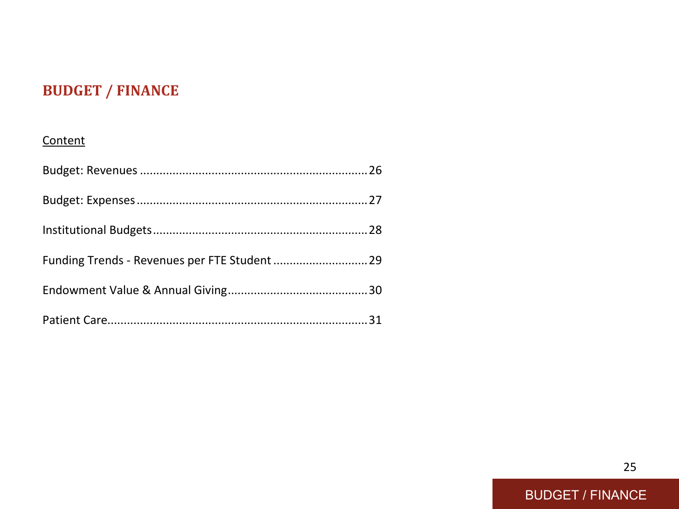## **BUDGET / FINANCE**

#### **Content**

| Funding Trends - Revenues per FTE Student  29 |  |
|-----------------------------------------------|--|
|                                               |  |
|                                               |  |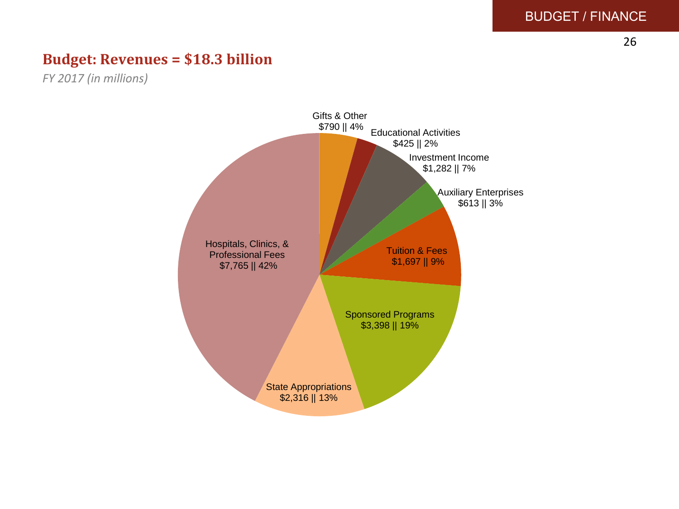26

#### **Budget: Revenues = \$18.3 billion**

*FY 2017 (in millions)*

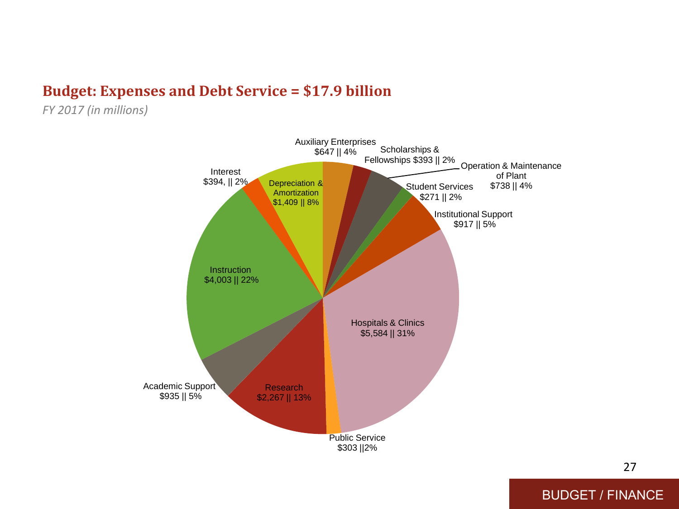### **Budget: Expenses and Debt Service = \$17.9 billion**

*FY 2017 (in millions)*



27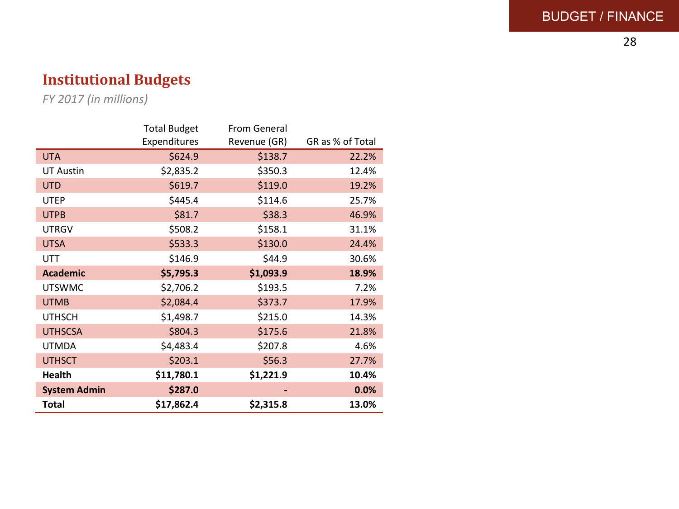#### BUDGET / FINANCE

## **Institutional Budgets**

*FY 2017 (in millions)*

|                     | <b>Total Budget</b> | <b>From General</b> |                  |
|---------------------|---------------------|---------------------|------------------|
|                     | Expenditures        | Revenue (GR)        | GR as % of Total |
| <b>UTA</b>          | \$624.9             | \$138.7             | 22.2%            |
| <b>UT Austin</b>    | \$2,835.2           | \$350.3             | 12.4%            |
| <b>UTD</b>          | \$619.7             | \$119.0             | 19.2%            |
| <b>UTEP</b>         | \$445.4             | \$114.6             | 25.7%            |
| <b>UTPB</b>         | \$81.7              | \$38.3              | 46.9%            |
| <b>UTRGV</b>        | \$508.2             | \$158.1             | 31.1%            |
| <b>UTSA</b>         | \$533.3             | \$130.0             | 24.4%            |
| UTT                 | \$146.9             | \$44.9              | 30.6%            |
| <b>Academic</b>     | \$5,795.3           | \$1,093.9           | 18.9%            |
| <b>UTSWMC</b>       | \$2,706.2           | \$193.5             | 7.2%             |
| <b>UTMB</b>         | \$2,084.4           | \$373.7             | 17.9%            |
| <b>UTHSCH</b>       | \$1,498.7           | \$215.0             | 14.3%            |
| <b>UTHSCSA</b>      | \$804.3             | \$175.6             | 21.8%            |
| <b>UTMDA</b>        | \$4,483.4           | \$207.8             | 4.6%             |
| <b>UTHSCT</b>       | \$203.1             | \$56.3              | 27.7%            |
| Health              | \$11,780.1          | \$1,221.9           | 10.4%            |
| <b>System Admin</b> | \$287.0             |                     | 0.0%             |
| Total               | \$17,862.4          | \$2,315.8           | 13.0%            |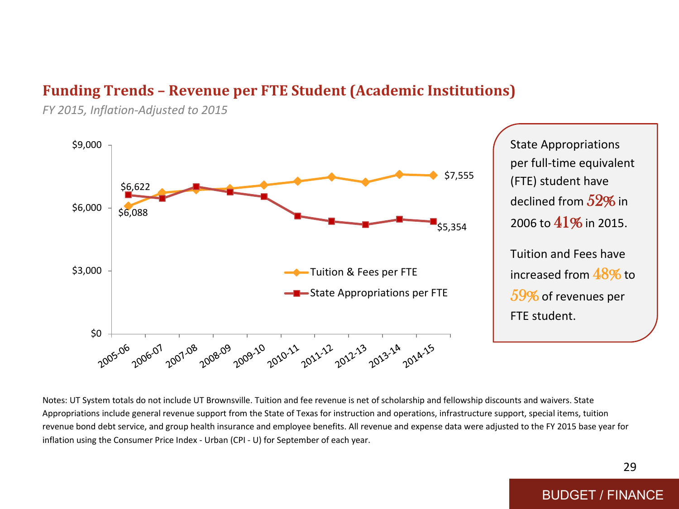#### **Funding Trends – Revenue per FTE Student (Academic Institutions)**

*FY 2015, Inflation-Adjusted to 2015*



State Appropriations per full-time equivalent (FTE) student have declined from  $52\%$  in 2006 to 41% in 2015. Tuition and Fees have increased from 48% to 59% of revenues per FTE student.

Notes: UT System totals do not include UT Brownsville. Tuition and fee revenue is net of scholarship and fellowship discounts and waivers. State Appropriations include general revenue support from the State of Texas for instruction and operations, infrastructure support, special items, tuition revenue bond debt service, and group health insurance and employee benefits. All revenue and expense data were adjusted to the FY 2015 base year for inflation using the Consumer Price Index - Urban (CPI - U) for September of each year.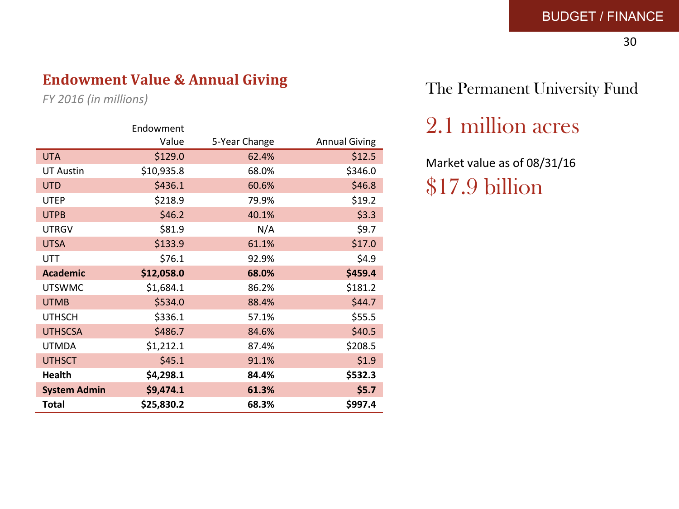30

## **Endowment Value & Annual Giving**

*FY 2016 (in millions)*

|                     | Endowment  |               |                      |
|---------------------|------------|---------------|----------------------|
|                     | Value      | 5-Year Change | <b>Annual Giving</b> |
| <b>UTA</b>          | \$129.0    | 62.4%         | \$12.5               |
| <b>UT Austin</b>    | \$10,935.8 | 68.0%         | \$346.0              |
| <b>UTD</b>          | \$436.1    | 60.6%         | \$46.8               |
| <b>UTEP</b>         | \$218.9    | 79.9%         | \$19.2               |
| <b>UTPB</b>         | \$46.2     | 40.1%         | \$3.3                |
| <b>UTRGV</b>        | \$81.9     | N/A           | \$9.7                |
| <b>UTSA</b>         | \$133.9    | 61.1%         | \$17.0               |
| <b>UTT</b>          | \$76.1     | 92.9%         | \$4.9                |
| <b>Academic</b>     | \$12,058.0 | 68.0%         | \$459.4              |
| <b>UTSWMC</b>       | \$1,684.1  | 86.2%         | \$181.2              |
| <b>UTMB</b>         | \$534.0    | 88.4%         | \$44.7               |
| <b>UTHSCH</b>       | \$336.1    | 57.1%         | \$55.5               |
| <b>UTHSCSA</b>      | \$486.7    | 84.6%         | \$40.5               |
| <b>UTMDA</b>        | \$1,212.1  | 87.4%         | \$208.5              |
| <b>UTHSCT</b>       | \$45.1     | 91.1%         | \$1.9                |
| <b>Health</b>       | \$4,298.1  | 84.4%         | \$532.3              |
| <b>System Admin</b> | \$9,474.1  | 61.3%         | \$5.7                |
| <b>Total</b>        | \$25,830.2 | 68.3%         | \$997.4              |

## The Permanent University Fund

2.1 million acres

Market value as of 08/31/16 \$17.9 billion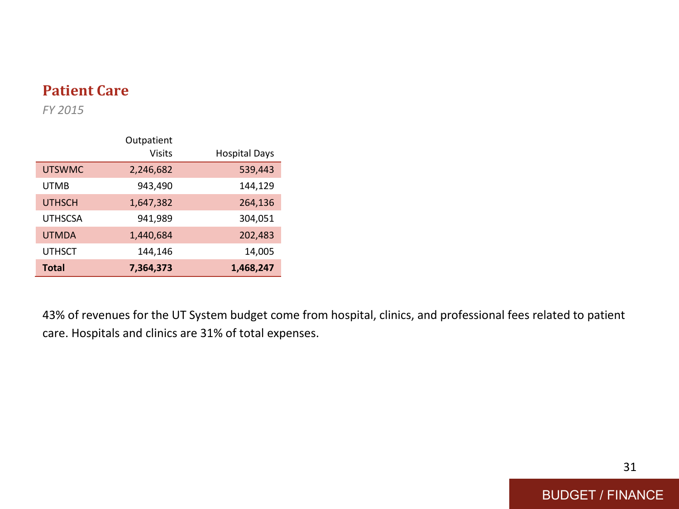## **Patient Care**

*FY 2015*

|                | Outpatient    |                      |
|----------------|---------------|----------------------|
|                | <b>Visits</b> | <b>Hospital Days</b> |
| <b>UTSWMC</b>  | 2,246,682     | 539,443              |
| <b>UTMB</b>    | 943,490       | 144,129              |
| <b>UTHSCH</b>  | 1,647,382     | 264,136              |
| <b>UTHSCSA</b> | 941,989       | 304,051              |
| <b>UTMDA</b>   | 1,440,684     | 202,483              |
| <b>UTHSCT</b>  | 144,146       | 14,005               |
| <b>Total</b>   | 7,364,373     | 1,468,247            |

43% of revenues for the UT System budget come from hospital, clinics, and professional fees related to patient care. Hospitals and clinics are 31% of total expenses.